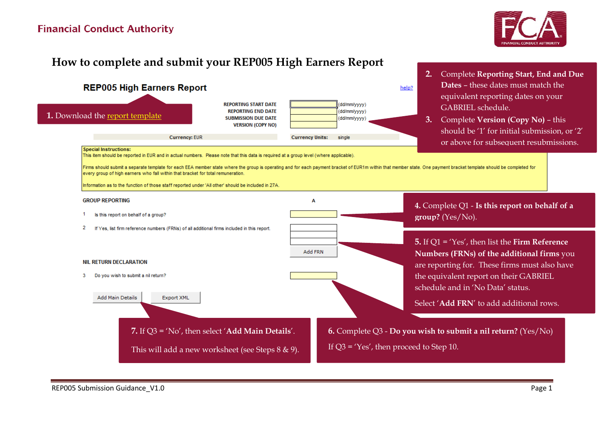## **Financial Conduct Authority**



# **How to complete and submit your REP005 High Earners Report**

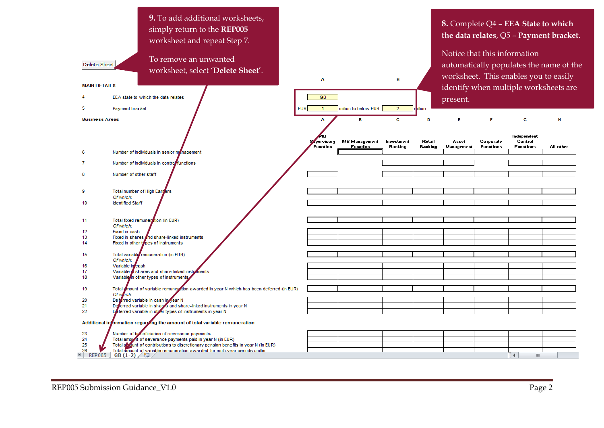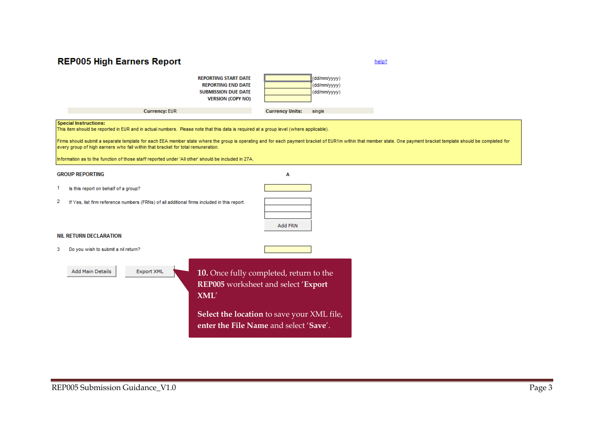### **REP005 High Earners Report**



help?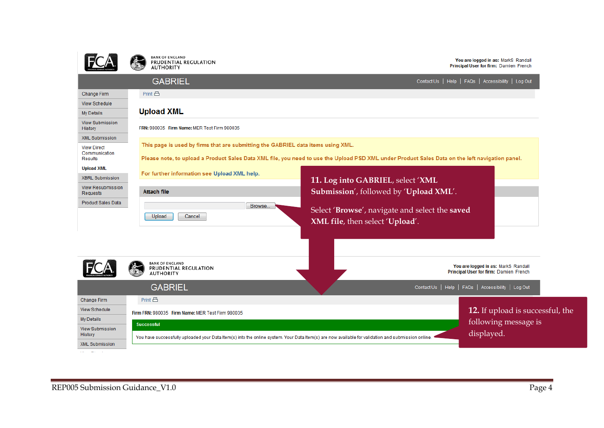



You are logged in as: MarkS Randall<br>Principal User for firm: Damien French

|                                                       | <b>GABRIEL</b>                                                                                                                                                                                                                      | Contact Us   Help   FAQs   Accessibility   Log Out                                                                                                               |  |  |
|-------------------------------------------------------|-------------------------------------------------------------------------------------------------------------------------------------------------------------------------------------------------------------------------------------|------------------------------------------------------------------------------------------------------------------------------------------------------------------|--|--|
| Change Firm                                           | Print 吕                                                                                                                                                                                                                             |                                                                                                                                                                  |  |  |
| <b>View Schedule</b>                                  |                                                                                                                                                                                                                                     |                                                                                                                                                                  |  |  |
| My Details                                            | <b>Upload XML</b>                                                                                                                                                                                                                   |                                                                                                                                                                  |  |  |
| <b>View Submission</b><br><b>History</b>              | FRN: 980035 Firm Name: MER Test Firm 980035                                                                                                                                                                                         |                                                                                                                                                                  |  |  |
| <b>XML Submission</b>                                 |                                                                                                                                                                                                                                     |                                                                                                                                                                  |  |  |
| <b>View Direct</b><br>Communication<br><b>Results</b> | This page is used by firms that are submitting the GABRIEL data items using XML.<br>Please note, to upload a Product Sales Data XML file, you need to use the Upload PSD XML under Product Sales Data on the left navigation panel. |                                                                                                                                                                  |  |  |
| <b>Upload XML</b>                                     |                                                                                                                                                                                                                                     |                                                                                                                                                                  |  |  |
| <b>XBRL Submission</b>                                | For further information see Upload XML help.                                                                                                                                                                                        | 11. Log into GABRIEL, select 'XML                                                                                                                                |  |  |
| <b>View Resubmission</b><br>Requests                  | <b>Attach file</b>                                                                                                                                                                                                                  | Submission', followed by 'Upload XML'.                                                                                                                           |  |  |
| <b>Product Sales Data</b>                             | Browse.<br>Upload<br>Cancel                                                                                                                                                                                                         | Select 'Browse', navigate and select the saved<br>XML file, then select 'Upload'.                                                                                |  |  |
|                                                       | <b>BANK OF ENGLAND</b><br>PRUDENTIAL REGULATION<br><b>AUTHORITY</b>                                                                                                                                                                 | You are logged in as: MarkS Randall<br>Principal User for firm: Damien French                                                                                    |  |  |
|                                                       | <b>GABRIEL</b>                                                                                                                                                                                                                      | Contact Us   Help   FAQs   Accessibility   Log Out                                                                                                               |  |  |
| <b>Change Firm</b>                                    | Print 吕                                                                                                                                                                                                                             |                                                                                                                                                                  |  |  |
| <b>View Schedule</b>                                  | Firm FRN: 980035 Firm Name: MER Test Firm 980035                                                                                                                                                                                    | 12. If upload is successful, the                                                                                                                                 |  |  |
| My Details                                            | <b>Successful</b>                                                                                                                                                                                                                   | following message is                                                                                                                                             |  |  |
| <b>View Submission</b><br>History                     |                                                                                                                                                                                                                                     | displayed.<br>You have successfully uploaded your Data Item(s) into the online system. Your Data Item(s) are now available for validation and submission online. |  |  |
| <b>XML Submission</b>                                 |                                                                                                                                                                                                                                     |                                                                                                                                                                  |  |  |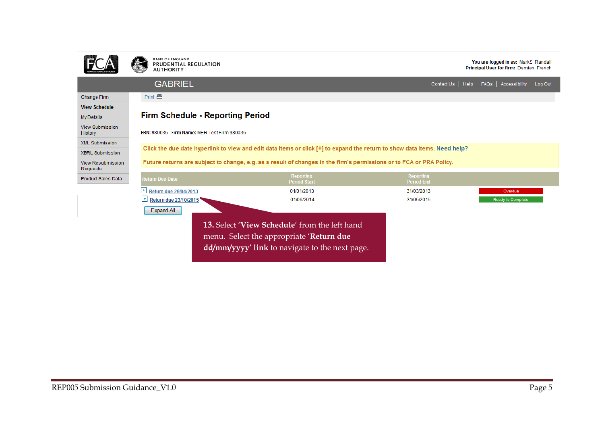

BANK OF ENGLAND<br>PRUDENTIAL REGULATION<br>AUTHORITY

You are logged in as: MarkS Randall Principal User for firm: Damien French

### **GABRIEL**

Print 昌

Contact Us | Help | FAQs | Accessibility | Log Out

#### Change Firm

**View Schedule** My Details **View Submission** 

History

| <b>Firm Schedule - Reporting Period</b> |
|-----------------------------------------|
|-----------------------------------------|

FRN: 980035 Firm Name: MER Test Firm 980035

XML Submission

**XBRL Submission** 

View Resubmission Requests

Product Sales Data

|  | Future returns are subject to change, e.g. as a result of changes in the firm's permissions or to FCA or PRA Policy. |
|--|----------------------------------------------------------------------------------------------------------------------|
|  |                                                                                                                      |

Click the due date hyperlink to view and edit data items or click [+] to expand the return to show data items. Need help?

| <b>Return Due Date</b> | Reporting<br><b>Period Start</b>                     | <b>Reporting</b><br><b>Period End</b> |                   |
|------------------------|------------------------------------------------------|---------------------------------------|-------------------|
| Return due 29/04/2013  | 01/01/2013                                           | 31/03/2013                            | Overdue           |
| Return due 23/10/2015  | 01/06/2014                                           | 31/05/2015                            | Ready to Complete |
| <b>Expand All</b>      |                                                      |                                       |                   |
|                        | <b>13.</b> Select 'View Schedule' from the left hand |                                       |                   |

menu. Select the appropriate '**Return due** 

**dd/mm/yyyy' link** to navigate to the next page.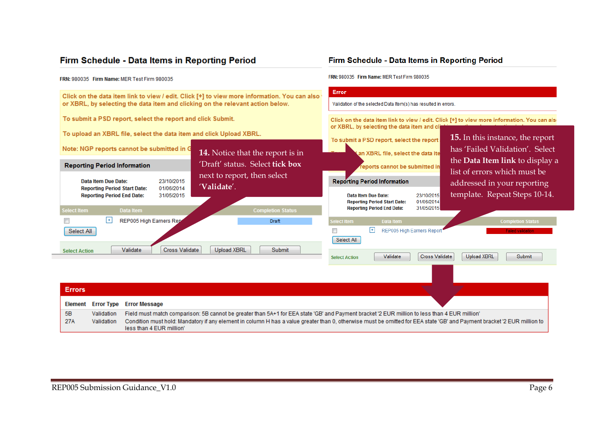### Firm Schedule - Data Items in Reporting Period

#### FRN: 980035 Firm Name: MER Test Firm 980035

Click on the data item link to view / edit. Click [+] to view more information. You can also or XBRL, by selecting the data item and clicking on the relevant action below.

To submit a PSD report, select the report and click Submit.

To upload an XBRL file, select the data item and click Upload XBRL.

### Firm Schedule - Data Items in Reporting Period

FRN: 980035 Firm Name: MER Test Firm 980035